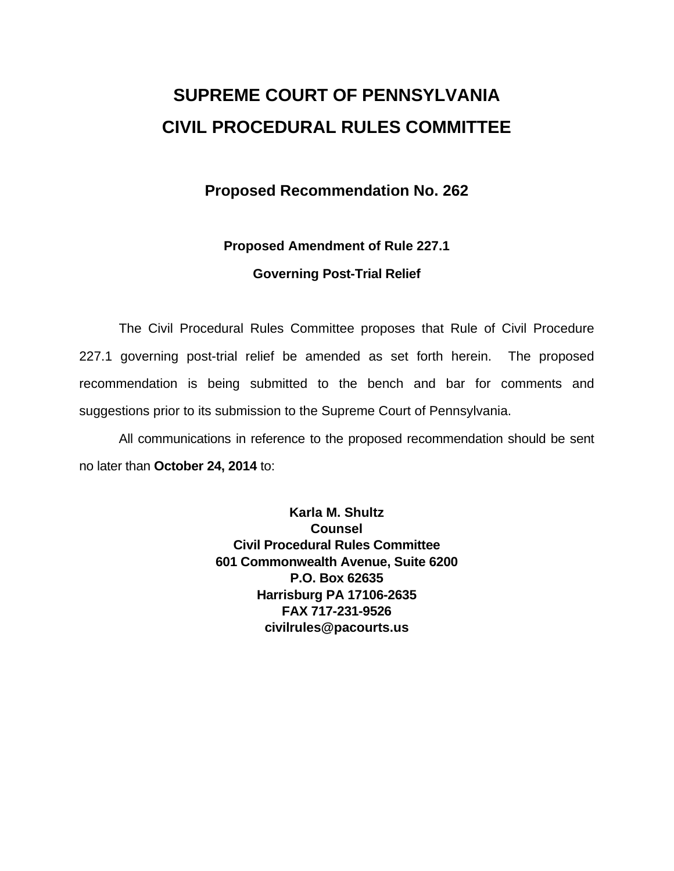# **SUPREME COURT OF PENNSYLVANIA CIVIL PROCEDURAL RULES COMMITTEE**

## **Proposed Recommendation No. 262**

## **Proposed Amendment of Rule 227.1 Governing Post-Trial Relief**

The Civil Procedural Rules Committee proposes that Rule of Civil Procedure 227.1 governing post-trial relief be amended as set forth herein. The proposed recommendation is being submitted to the bench and bar for comments and suggestions prior to its submission to the Supreme Court of Pennsylvania.

All communications in reference to the proposed recommendation should be sent no later than **October 24, 2014** to:

> **Karla M. Shultz Counsel Civil Procedural Rules Committee 601 Commonwealth Avenue, Suite 6200 P.O. Box 62635 Harrisburg PA 17106-2635 FAX 717-231-9526 civilrules@pacourts.us**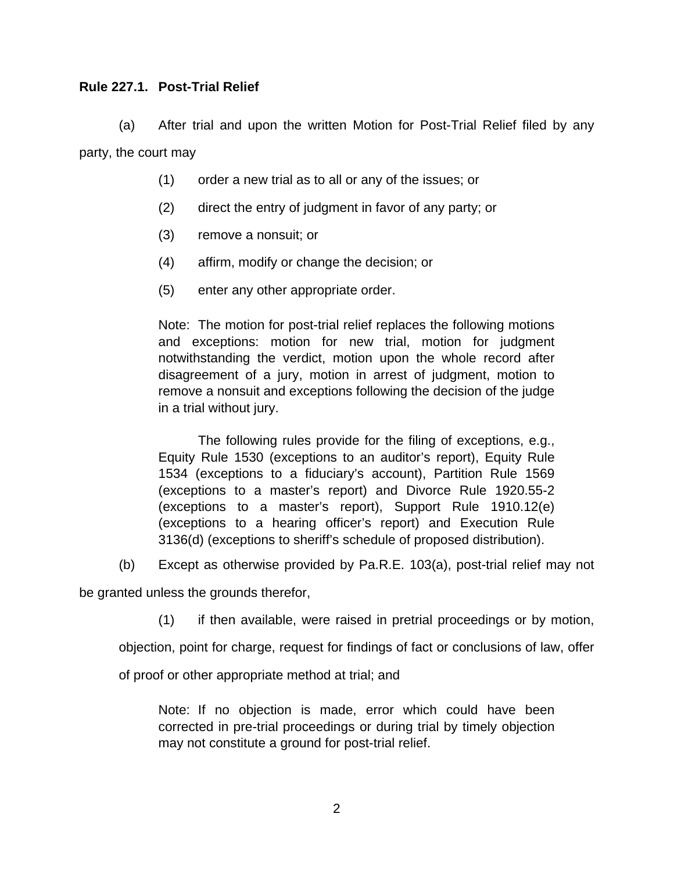### **Rule 227.1. Post-Trial Relief**

(a) After trial and upon the written Motion for Post-Trial Relief filed by any party, the court may

- (1) order a new trial as to all or any of the issues; or
- (2) direct the entry of judgment in favor of any party; or
- (3) remove a nonsuit; or
- (4) affirm, modify or change the decision; or
- (5) enter any other appropriate order.

Note: The motion for post-trial relief replaces the following motions and exceptions: motion for new trial, motion for judgment notwithstanding the verdict, motion upon the whole record after disagreement of a jury, motion in arrest of judgment, motion to remove a nonsuit and exceptions following the decision of the judge in a trial without jury.

The following rules provide for the filing of exceptions, e.g., Equity Rule 1530 (exceptions to an auditor's report), Equity Rule 1534 (exceptions to a fiduciary's account), Partition Rule 1569 (exceptions to a master's report) and Divorce Rule 1920.55-2 (exceptions to a master's report), Support Rule 1910.12(e) (exceptions to a hearing officer's report) and Execution Rule 3136(d) (exceptions to sheriff's schedule of proposed distribution).

(b) Except as otherwise provided by Pa.R.E. 103(a), post-trial relief may not

be granted unless the grounds therefor,

(1) if then available, were raised in pretrial proceedings or by motion,

objection, point for charge, request for findings of fact or conclusions of law, offer

of proof or other appropriate method at trial; and

Note: If no objection is made, error which could have been corrected in pre-trial proceedings or during trial by timely objection may not constitute a ground for post-trial relief.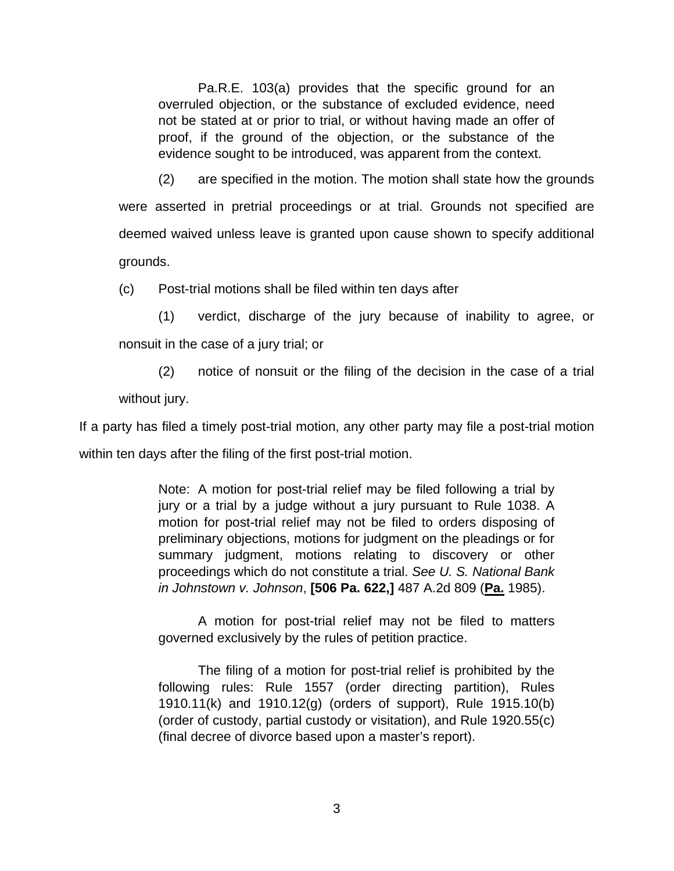Pa.R.E. 103(a) provides that the specific ground for an overruled objection, or the substance of excluded evidence, need not be stated at or prior to trial, or without having made an offer of proof, if the ground of the objection, or the substance of the evidence sought to be introduced, was apparent from the context.

(2) are specified in the motion. The motion shall state how the grounds were asserted in pretrial proceedings or at trial. Grounds not specified are deemed waived unless leave is granted upon cause shown to specify additional grounds.

(c) Post-trial motions shall be filed within ten days after

(1) verdict, discharge of the jury because of inability to agree, or nonsuit in the case of a jury trial; or

(2) notice of nonsuit or the filing of the decision in the case of a trial without jury.

If a party has filed a timely post-trial motion, any other party may file a post-trial motion within ten days after the filing of the first post-trial motion.

> Note: A motion for post-trial relief may be filed following a trial by jury or a trial by a judge without a jury pursuant to Rule 1038. A motion for post-trial relief may not be filed to orders disposing of preliminary objections, motions for judgment on the pleadings or for summary judgment, motions relating to discovery or other proceedings which do not constitute a trial. *See U. S. National Bank in Johnstown v. Johnson*, **[506 Pa. 622,]** 487 A.2d 809 (**Pa.** 1985).

> A motion for post-trial relief may not be filed to matters governed exclusively by the rules of petition practice.

> The filing of a motion for post-trial relief is prohibited by the following rules: Rule 1557 (order directing partition), Rules 1910.11(k) and 1910.12(g) (orders of support), Rule 1915.10(b) (order of custody, partial custody or visitation), and Rule 1920.55(c) (final decree of divorce based upon a master's report).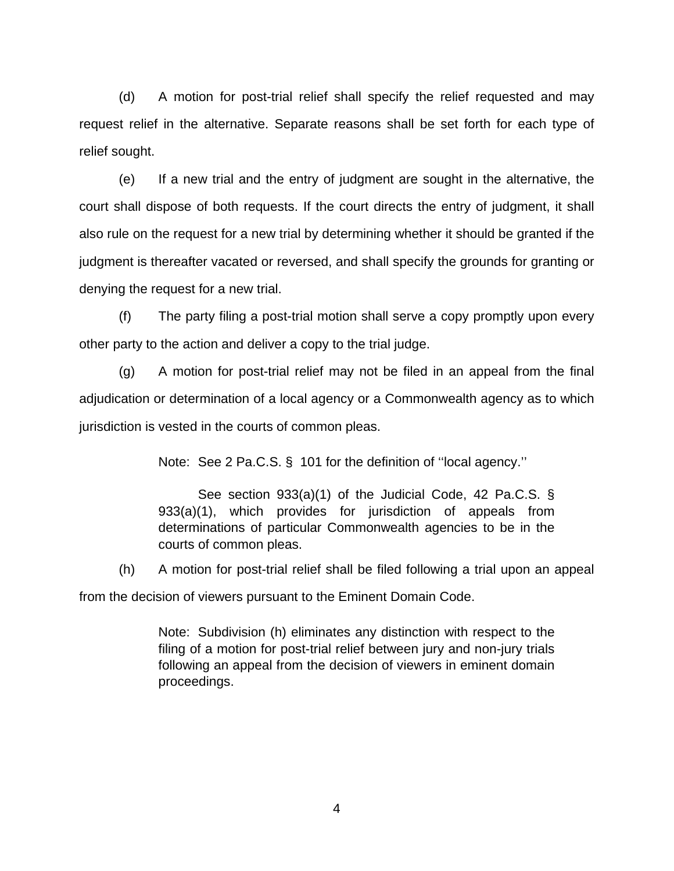(d) A motion for post-trial relief shall specify the relief requested and may request relief in the alternative. Separate reasons shall be set forth for each type of relief sought.

(e) If a new trial and the entry of judgment are sought in the alternative, the court shall dispose of both requests. If the court directs the entry of judgment, it shall also rule on the request for a new trial by determining whether it should be granted if the judgment is thereafter vacated or reversed, and shall specify the grounds for granting or denying the request for a new trial.

(f) The party filing a post-trial motion shall serve a copy promptly upon every other party to the action and deliver a copy to the trial judge.

(g) A motion for post-trial relief may not be filed in an appeal from the final adjudication or determination of a local agency or a Commonwealth agency as to which jurisdiction is vested in the courts of common pleas.

Note: See 2 Pa.C.S. § 101 for the definition of ''local agency.''

See section 933(a)(1) of the Judicial Code, 42 Pa.C.S. § 933(a)(1), which provides for jurisdiction of appeals from determinations of particular Commonwealth agencies to be in the courts of common pleas.

(h) A motion for post-trial relief shall be filed following a trial upon an appeal

from the decision of viewers pursuant to the Eminent Domain Code.

Note: Subdivision (h) eliminates any distinction with respect to the filing of a motion for post-trial relief between jury and non-jury trials following an appeal from the decision of viewers in eminent domain proceedings.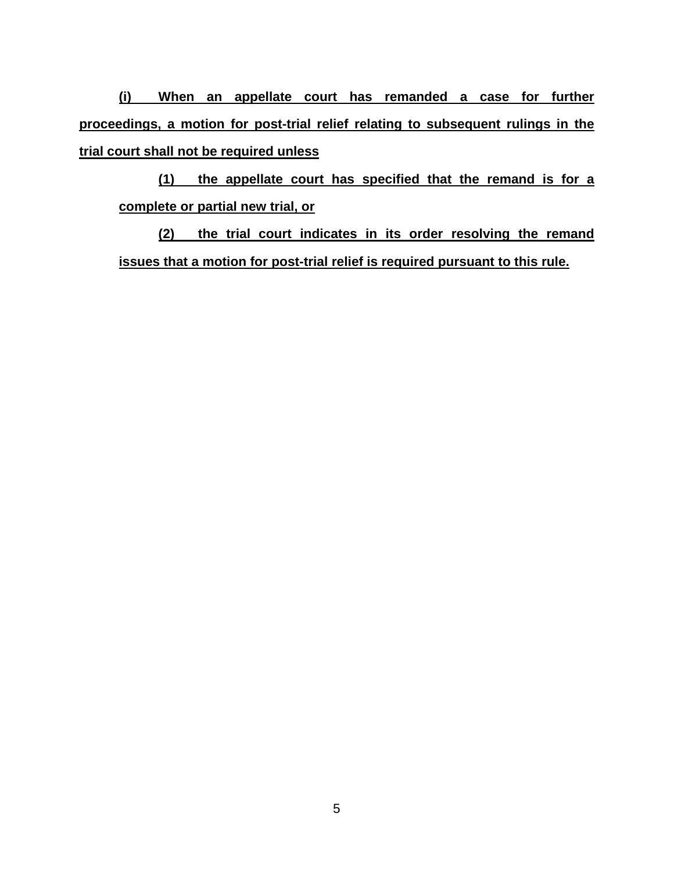**(i) When an appellate court has remanded a case for further proceedings, a motion for post-trial relief relating to subsequent rulings in the trial court shall not be required unless**

**(1) the appellate court has specified that the remand is for a complete or partial new trial, or**

**(2) the trial court indicates in its order resolving the remand issues that a motion for post-trial relief is required pursuant to this rule.**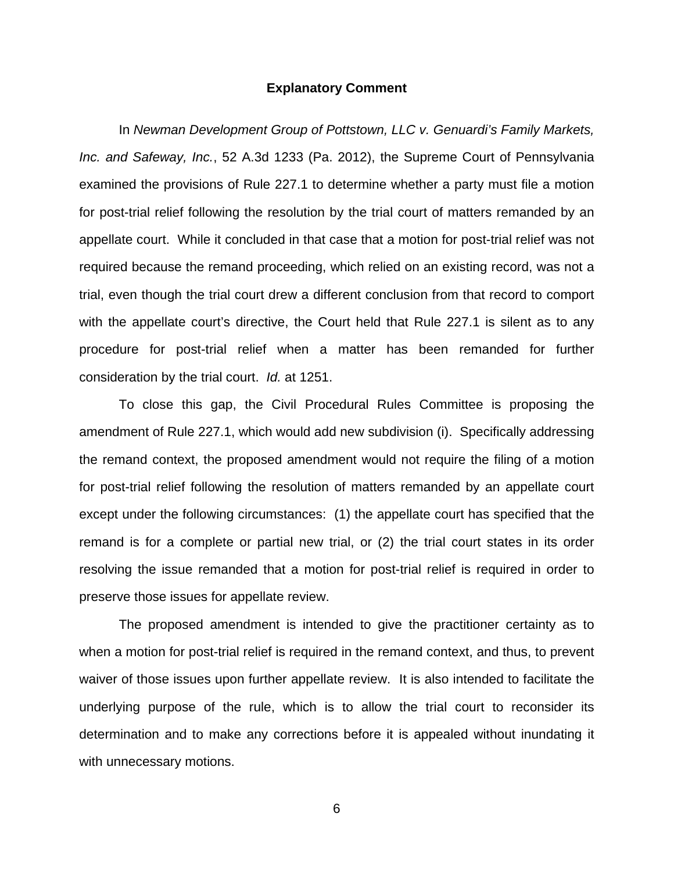#### **Explanatory Comment**

In *Newman Development Group of Pottstown, LLC v. Genuardi's Family Markets, Inc. and Safeway, Inc.*, 52 A.3d 1233 (Pa. 2012), the Supreme Court of Pennsylvania examined the provisions of Rule 227.1 to determine whether a party must file a motion for post-trial relief following the resolution by the trial court of matters remanded by an appellate court. While it concluded in that case that a motion for post-trial relief was not required because the remand proceeding, which relied on an existing record, was not a trial, even though the trial court drew a different conclusion from that record to comport with the appellate court's directive, the Court held that Rule 227.1 is silent as to any procedure for post-trial relief when a matter has been remanded for further consideration by the trial court. *Id.* at 1251.

To close this gap, the Civil Procedural Rules Committee is proposing the amendment of Rule 227.1, which would add new subdivision (i). Specifically addressing the remand context, the proposed amendment would not require the filing of a motion for post-trial relief following the resolution of matters remanded by an appellate court except under the following circumstances: (1) the appellate court has specified that the remand is for a complete or partial new trial, or (2) the trial court states in its order resolving the issue remanded that a motion for post-trial relief is required in order to preserve those issues for appellate review.

The proposed amendment is intended to give the practitioner certainty as to when a motion for post-trial relief is required in the remand context, and thus, to prevent waiver of those issues upon further appellate review. It is also intended to facilitate the underlying purpose of the rule, which is to allow the trial court to reconsider its determination and to make any corrections before it is appealed without inundating it with unnecessary motions.

6